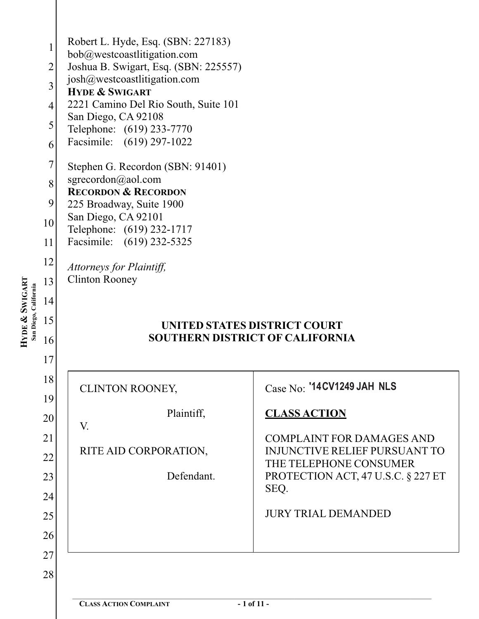| Robert L. Hyde, Esq. (SBN: 227183)<br>bob@westcoastlitigation.com<br>Joshua B. Swigart, Esq. (SBN: 225557)<br>josh@westcoastlitigation.com<br><b>HYDE &amp; SWIGART</b><br>2221 Camino Del Rio South, Suite 101<br>San Diego, CA 92108<br>Telephone: (619) 233-7770<br>Facsimile: (619) 297-1022<br>Stephen G. Recordon (SBN: 91401)<br>sgrecordon@aol.com<br><b>RECORDON &amp; RECORDON</b><br>225 Broadway, Suite 1900<br>San Diego, CA 92101<br>Telephone: (619) 232-1717<br>Facsimile: (619) 232-5325<br>Attorneys for Plaintiff,<br><b>Clinton Rooney</b> | UNITED STATES DISTRICT COURT<br><b>SOUTHERN DISTRICT OF CALIFORNIA</b>                                                                                                                                                              |
|----------------------------------------------------------------------------------------------------------------------------------------------------------------------------------------------------------------------------------------------------------------------------------------------------------------------------------------------------------------------------------------------------------------------------------------------------------------------------------------------------------------------------------------------------------------|-------------------------------------------------------------------------------------------------------------------------------------------------------------------------------------------------------------------------------------|
| <b>CLINTON ROONEY,</b><br>Plaintiff,<br>V.<br>RITE AID CORPORATION,<br>Defendant.                                                                                                                                                                                                                                                                                                                                                                                                                                                                              | Case No: '14CV1249 JAH NLS<br><b>CLASS ACTION</b><br><b>COMPLAINT FOR DAMAGES AND</b><br><b>INJUNCTIVE RELIEF PURSUANT TO</b><br>THE TELEPHONE CONSUMER<br>PROTECTION ACT, 47 U.S.C. § 227 ET<br>SEQ.<br><b>JURY TRIAL DEMANDED</b> |
|                                                                                                                                                                                                                                                                                                                                                                                                                                                                                                                                                                |                                                                                                                                                                                                                                     |

**HYDE** 

**&**

**SWIGART**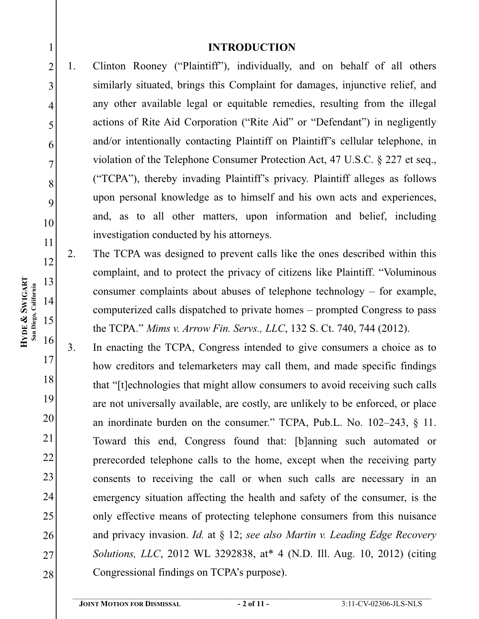### **INTRODUCTION**

- 1. Clinton Rooney ("Plaintiff"), individually, and on behalf of all others similarly situated, brings this Complaint for damages, injunctive relief, and any other available legal or equitable remedies, resulting from the illegal actions of Rite Aid Corporation ("Rite Aid" or "Defendant") in negligently and/or intentionally contacting Plaintiff on Plaintiff's cellular telephone, in violation of the Telephone Consumer Protection Act, 47 U.S.C. § 227 et seq., ("TCPA"), thereby invading Plaintiff's privacy. Plaintiff alleges as follows upon personal knowledge as to himself and his own acts and experiences, and, as to all other matters, upon information and belief, including investigation conducted by his attorneys.
	- 2. The TCPA was designed to prevent calls like the ones described within this complaint, and to protect the privacy of citizens like Plaintiff. "Voluminous consumer complaints about abuses of telephone technology – for example, computerized calls dispatched to private homes – prompted Congress to pass the TCPA." *Mims v. Arrow Fin. Servs., LLC*, 132 S. Ct. 740, 744 (2012).
- 16 17 18 19 20 21 22 23 24 25 26 27 28 3. In enacting the TCPA, Congress intended to give consumers a choice as to how creditors and telemarketers may call them, and made specific findings that "[t]echnologies that might allow consumers to avoid receiving such calls are not universally available, are costly, are unlikely to be enforced, or place an inordinate burden on the consumer." TCPA, Pub.L. No. 102–243, § 11. Toward this end, Congress found that: [b]anning such automated or prerecorded telephone calls to the home, except when the receiving party consents to receiving the call or when such calls are necessary in an emergency situation affecting the health and safety of the consumer, is the only effective means of protecting telephone consumers from this nuisance and privacy invasion. *Id.* at § 12; *see also Martin v. Leading Edge Recovery Solutions, LLC*, 2012 WL 3292838, at\* 4 (N.D. Ill. Aug. 10, 2012) (citing Congressional findings on TCPA's purpose).

1

2

3

4

5

6

7

8

9

10

11

12

13

14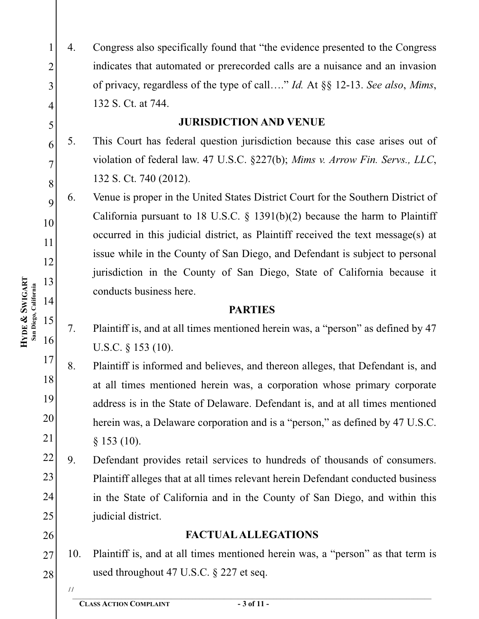4. Congress also specifically found that "the evidence presented to the Congress indicates that automated or prerecorded calls are a nuisance and an invasion of privacy, regardless of the type of call…." *Id.* At §§ 12-13. *See also*, *Mims*, 132 S. Ct. at 744.

# **JURISDICTION AND VENUE**

5. This Court has federal question jurisdiction because this case arises out of violation of federal law. 47 U.S.C. §227(b); *Mims v. Arrow Fin. Servs., LLC*, 132 S. Ct. 740 (2012).

6. Venue is proper in the United States District Court for the Southern District of California pursuant to 18 U.S.C.  $\S$  1391(b)(2) because the harm to Plaintiff occurred in this judicial district, as Plaintiff received the text message(s) at issue while in the County of San Diego, and Defendant is subject to personal jurisdiction in the County of San Diego, State of California because it conducts business here.

#### **PARTIES PARTIES**

- 7. Plaintiff is, and at all times mentioned herein was, a "person" as defined by 47 U.S.C. § 153 (10).
- 17 18 19 20 21 8. Plaintiff is informed and believes, and thereon alleges, that Defendant is, and at all times mentioned herein was, a corporation whose primary corporate address is in the State of Delaware. Defendant is, and at all times mentioned herein was, a Delaware corporation and is a "person," as defined by 47 U.S.C.  $§ 153 (10).$
- 22 23 24 25 9. Defendant provides retail services to hundreds of thousands of consumers. Plaintiff alleges that at all times relevant herein Defendant conducted business in the State of California and in the County of San Diego, and within this judicial district.
	- **FACTUAL ALLEGATIONS**
- 27 28 10. Plaintiff is, and at all times mentioned herein was, a "person" as that term is used throughout 47 U.S.C. § 227 et seq.
	-

26

**SWIGART** San Diego, California **San Diego, California & HYDE** 

1

2

3

4

5

6

7

8

9

10

11

12

13

14

15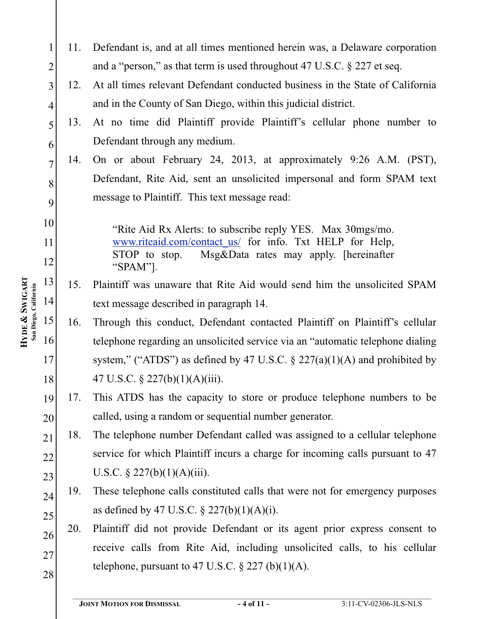1 2 3 4 5 6 7 8 9 10 11 12 13 14 15 16 17 18 19 20 21 22 23 24 25 26 27 28 11. Defendant is, and at all times mentioned herein was, a Delaware corporation and a "person," as that term is used throughout 47 U.S.C. § 227 et seq. 12. At all times relevant Defendant conducted business in the State of California and in the County of San Diego, within this judicial district. 13. At no time did Plaintiff provide Plaintiff's cellular phone number to Defendant through any medium. 14. On or about February 24, 2013, at approximately 9:26 A.M. (PST), Defendant, Rite Aid, sent an unsolicited impersonal and form SPAM text message to Plaintiff. This text message read: "Rite Aid Rx Alerts: to subscribe reply YES. Max 30mgs/mo. www.riteaid.com/contact\_us/ for info. Txt HELP for Help, STOP to stop. Msg&Data rates may apply. [hereinafter "SPAM"]. 15. Plaintiff was unaware that Rite Aid would send him the unsolicited SPAM text message described in paragraph 14. 16. Through this conduct, Defendant contacted Plaintiff on Plaintiff's cellular telephone regarding an unsolicited service via an "automatic telephone dialing system," ("ATDS") as defined by 47 U.S.C.  $\S$  227(a)(1)(A) and prohibited by 47 U.S.C. § 227(b)(1)(A)(iii). 17. This ATDS has the capacity to store or produce telephone numbers to be called, using a random or sequential number generator. 18. The telephone number Defendant called was assigned to a cellular telephone service for which Plaintiff incurs a charge for incoming calls pursuant to 47 U.S.C.  $\S 227(b)(1)(A)(iii)$ . 19. These telephone calls constituted calls that were not for emergency purposes as defined by 47 U.S.C.  $\S 227(b)(1)(A)(i)$ . 20. Plaintiff did not provide Defendant or its agent prior express consent to receive calls from Rite Aid, including unsolicited calls, to his cellular telephone, pursuant to 47 U.S.C.  $\S 227 (b)(1)(A)$ .

**SWIGART** San Diego, California **San Diego, California & HYDE**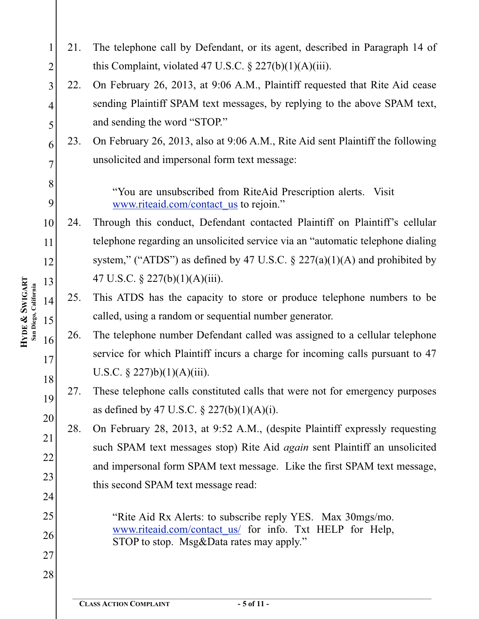1 2 3 4 5 6 7 8 9 10 11 12 13 14 15 16 17 18 19 20 21 22 23 24 25 26 27 28 21. The telephone call by Defendant, or its agent, described in Paragraph 14 of this Complaint, violated 47 U.S.C.  $\S 227(b)(1)(A)(iii)$ . 22. On February 26, 2013, at 9:06 A.M., Plaintiff requested that Rite Aid cease sending Plaintiff SPAM text messages, by replying to the above SPAM text, and sending the word "STOP." 23. On February 26, 2013, also at 9:06 A.M., Rite Aid sent Plaintiff the following unsolicited and impersonal form text message: "You are unsubscribed from RiteAid Prescription alerts. Visit www.riteaid.com/contact\_us to rejoin." 24. Through this conduct, Defendant contacted Plaintiff on Plaintiff's cellular telephone regarding an unsolicited service via an "automatic telephone dialing system," ("ATDS") as defined by 47 U.S.C.  $\S$  227(a)(1)(A) and prohibited by 47 U.S.C. § 227(b)(1)(A)(iii). 25. This ATDS has the capacity to store or produce telephone numbers to be called, using a random or sequential number generator. 26. The telephone number Defendant called was assigned to a cellular telephone service for which Plaintiff incurs a charge for incoming calls pursuant to 47 U.S.C.  $\S$  227)b)(1)(A)(iii). 27. These telephone calls constituted calls that were not for emergency purposes as defined by 47 U.S.C.  $\S 227(b)(1)(A)(i)$ . 28. On February 28, 2013, at 9:52 A.M., (despite Plaintiff expressly requesting such SPAM text messages stop) Rite Aid *again* sent Plaintiff an unsolicited and impersonal form SPAM text message. Like the first SPAM text message, this second SPAM text message read: "Rite Aid Rx Alerts: to subscribe reply YES. Max 30mgs/mo. www.riteaid.com/contact\_us/ for info. Txt HELP for Help, STOP to stop. Msg&Data rates may apply."  $\mathcal{L}_\mathcal{L} = \{ \mathcal{L}_\mathcal{L} = \{ \mathcal{L}_\mathcal{L} = \{ \mathcal{L}_\mathcal{L} = \{ \mathcal{L}_\mathcal{L} = \{ \mathcal{L}_\mathcal{L} = \{ \mathcal{L}_\mathcal{L} = \{ \mathcal{L}_\mathcal{L} = \{ \mathcal{L}_\mathcal{L} = \{ \mathcal{L}_\mathcal{L} = \{ \mathcal{L}_\mathcal{L} = \{ \mathcal{L}_\mathcal{L} = \{ \mathcal{L}_\mathcal{L} = \{ \mathcal{L}_\mathcal{L} = \{ \mathcal{L}_\mathcal{$ 

**SWIGART** San Diego, California **San Diego, California & HYDE**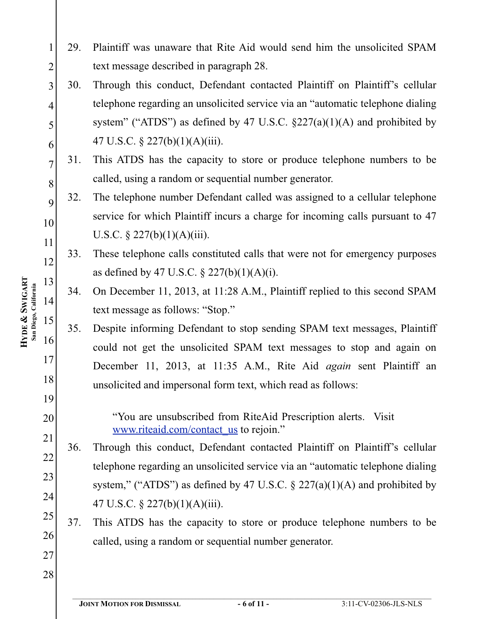- 29. Plaintiff was unaware that Rite Aid would send him the unsolicited SPAM text message described in paragraph 28.
- 3 4 5 6 30. Through this conduct, Defendant contacted Plaintiff on Plaintiff's cellular telephone regarding an unsolicited service via an "automatic telephone dialing system" ("ATDS") as defined by 47 U.S.C.  $\S227(a)(1)(A)$  and prohibited by 47 U.S.C. § 227(b)(1)(A)(iii).
	- 31. This ATDS has the capacity to store or produce telephone numbers to be called, using a random or sequential number generator.
	- 32. The telephone number Defendant called was assigned to a cellular telephone service for which Plaintiff incurs a charge for incoming calls pursuant to 47 U.S.C.  $\S 227(b)(1)(A)(iii)$ .
	- 33. These telephone calls constituted calls that were not for emergency purposes as defined by 47 U.S.C.  $\S 227(b)(1)(A)(i)$ .
	- 34. On December 11, 2013, at 11:28 A.M., Plaintiff replied to this second SPAM text message as follows: "Stop."
- 16 18 35. Despite informing Defendant to stop sending SPAM text messages, Plaintiff could not get the unsolicited SPAM text messages to stop and again on December 11, 2013, at 11:35 A.M., Rite Aid *again* sent Plaintiff an unsolicited and impersonal form text, which read as follows:
	- "You are unsubscribed from RiteAid Prescription alerts. Visit www.riteaid.com/contact\_us to rejoin."
- 21 22 23 24 36. Through this conduct, Defendant contacted Plaintiff on Plaintiff's cellular telephone regarding an unsolicited service via an "automatic telephone dialing system," ("ATDS") as defined by 47 U.S.C.  $\S$  227(a)(1)(A) and prohibited by 47 U.S.C. § 227(b)(1)(A)(iii).
- 25 26 37. This ATDS has the capacity to store or produce telephone numbers to be called, using a random or sequential number generator.
- 28

27

**SWIGART** San Diego, California **San Diego, California & HYDE** 

1

2

7

8

9

10

11

12

13

14

15

17

19

20

 $\mathcal{L}_\mathcal{L} = \{ \mathcal{L}_\mathcal{L} = \{ \mathcal{L}_\mathcal{L} = \{ \mathcal{L}_\mathcal{L} = \{ \mathcal{L}_\mathcal{L} = \{ \mathcal{L}_\mathcal{L} = \{ \mathcal{L}_\mathcal{L} = \{ \mathcal{L}_\mathcal{L} = \{ \mathcal{L}_\mathcal{L} = \{ \mathcal{L}_\mathcal{L} = \{ \mathcal{L}_\mathcal{L} = \{ \mathcal{L}_\mathcal{L} = \{ \mathcal{L}_\mathcal{L} = \{ \mathcal{L}_\mathcal{L} = \{ \mathcal{L}_\mathcal{$ **JOINT MOTION FOR DISMISSAL - 6 of 11 -** 3:11-CV-02306-JLS-NLS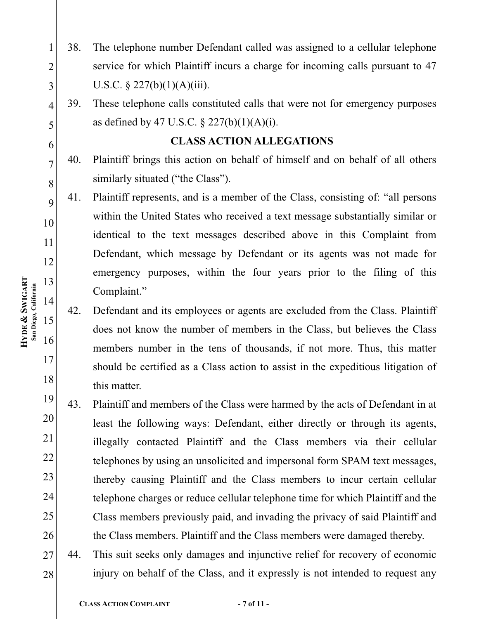- 38. The telephone number Defendant called was assigned to a cellular telephone service for which Plaintiff incurs a charge for incoming calls pursuant to 47 U.S.C.  $\S 227(b)(1)(A)(iii)$ .
- 39. These telephone calls constituted calls that were not for emergency purposes as defined by 47 U.S.C.  $\S 227(b)(1)(A)(i)$ .

# **CLASS ACTION ALLEGATIONS**

- 40. Plaintiff brings this action on behalf of himself and on behalf of all others similarly situated ("the Class").
- 41. Plaintiff represents, and is a member of the Class, consisting of: "all persons within the United States who received a text message substantially similar or identical to the text messages described above in this Complaint from Defendant, which message by Defendant or its agents was not made for emergency purposes, within the four years prior to the filing of this Complaint."
- 42. Defendant and its employees or agents are excluded from the Class. Plaintiff does not know the number of members in the Class, but believes the Class members number in the tens of thousands, if not more. Thus, this matter should be certified as a Class action to assist in the expeditious litigation of this matter.
- 19 20 21 22 23 24 25 26 43. Plaintiff and members of the Class were harmed by the acts of Defendant in at least the following ways: Defendant, either directly or through its agents, illegally contacted Plaintiff and the Class members via their cellular telephones by using an unsolicited and impersonal form SPAM text messages, thereby causing Plaintiff and the Class members to incur certain cellular telephone charges or reduce cellular telephone time for which Plaintiff and the Class members previously paid, and invading the privacy of said Plaintiff and the Class members. Plaintiff and the Class members were damaged thereby.
- 27 28 44. This suit seeks only damages and injunctive relief for recovery of economic injury on behalf of the Class, and it expressly is not intended to request any

1

2

3

4

5

6

7

8

9

10

11

12

13

14

15

16

17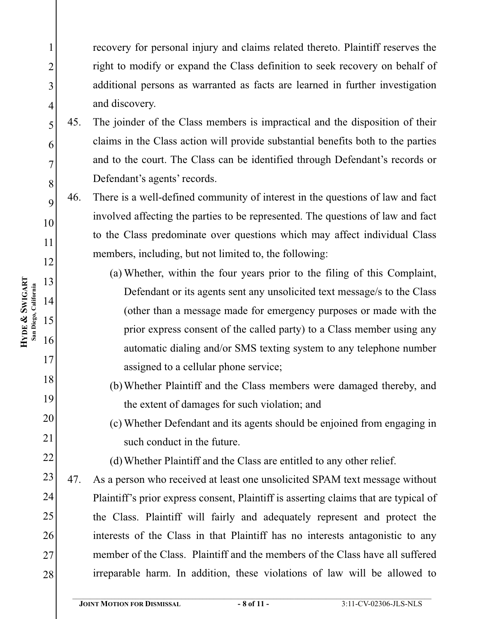recovery for personal injury and claims related thereto. Plaintiff reserves the right to modify or expand the Class definition to seek recovery on behalf of additional persons as warranted as facts are learned in further investigation and discovery.

- 45. The joinder of the Class members is impractical and the disposition of their claims in the Class action will provide substantial benefits both to the parties and to the court. The Class can be identified through Defendant's records or Defendant's agents' records.
- 46. There is a well-defined community of interest in the questions of law and fact involved affecting the parties to be represented. The questions of law and fact to the Class predominate over questions which may affect individual Class members, including, but not limited to, the following:
	- (a) Whether, within the four years prior to the filing of this Complaint, Defendant or its agents sent any unsolicited text message/s to the Class (other than a message made for emergency purposes or made with the prior express consent of the called party) to a Class member using any automatic dialing and/or SMS texting system to any telephone number assigned to a cellular phone service;
	- (b)Whether Plaintiff and the Class members were damaged thereby, and the extent of damages for such violation; and
	- (c) Whether Defendant and its agents should be enjoined from engaging in such conduct in the future.
		- (d)Whether Plaintiff and the Class are entitled to any other relief.
- 23 24 25 26 27 28 47. As a person who received at least one unsolicited SPAM text message without Plaintiff's prior express consent, Plaintiff is asserting claims that are typical of the Class. Plaintiff will fairly and adequately represent and protect the interests of the Class in that Plaintiff has no interests antagonistic to any member of the Class. Plaintiff and the members of the Class have all suffered irreparable harm. In addition, these violations of law will be allowed to

1

2

3

4

5

6

7

8

9

10

11

12

13

14

15

16

17

18

19

20

21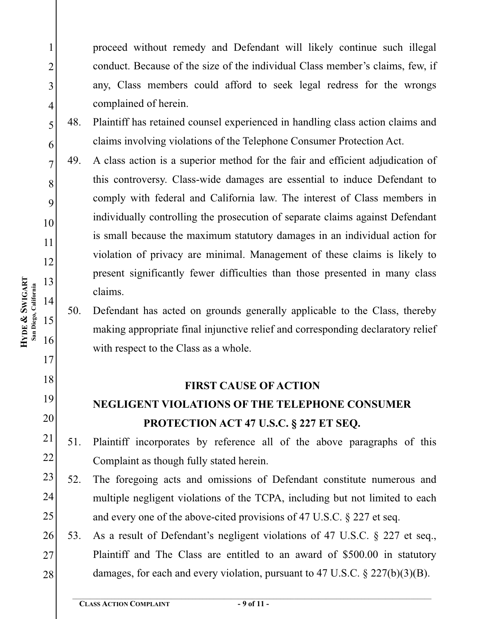proceed without remedy and Defendant will likely continue such illegal conduct. Because of the size of the individual Class member's claims, few, if any, Class members could afford to seek legal redress for the wrongs complained of herein.

- 48. Plaintiff has retained counsel experienced in handling class action claims and claims involving violations of the Telephone Consumer Protection Act.
- 49. A class action is a superior method for the fair and efficient adjudication of this controversy. Class-wide damages are essential to induce Defendant to comply with federal and California law. The interest of Class members in individually controlling the prosecution of separate claims against Defendant is small because the maximum statutory damages in an individual action for violation of privacy are minimal. Management of these claims is likely to present significantly fewer difficulties than those presented in many class claims.
- 50. Defendant has acted on grounds generally applicable to the Class, thereby making appropriate final injunctive relief and corresponding declaratory relief with respect to the Class as a whole.

#### **FIRST CAUSE OF ACTION**

### **FIRST CAUSE OF ACTION NEGLIGENT VIOLATIONS OF THE TELEPHONE CONSUMER PROTECTION ACT 47 U.S.C. § 227 ET SEQ.**

#### 21 22 51. Plaintiff incorporates by reference all of the above paragraphs of this Complaint as though fully stated herein.

- 23 24 25 52. The foregoing acts and omissions of Defendant constitute numerous and multiple negligent violations of the TCPA, including but not limited to each and every one of the above-cited provisions of 47 U.S.C. § 227 et seq.
- 26 27 28 53. As a result of Defendant's negligent violations of 47 U.S.C. § 227 et seq., Plaintiff and The Class are entitled to an award of \$500.00 in statutory damages, for each and every violation, pursuant to 47 U.S.C. § 227(b)(3)(B).

1

2

3

4

5

6

7

8

9

10

11

12

13

14

15

16

17

18

19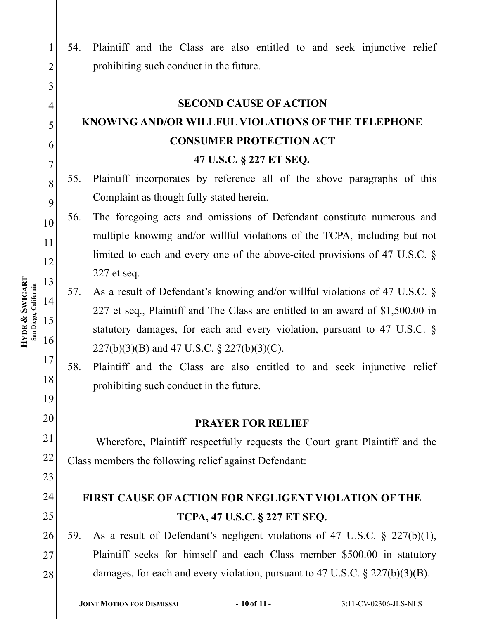54. Plaintiff and the Class are also entitled to and seek injunctive relief 1 2 prohibiting such conduct in the future. 3 4 **SECOND CAUSE OF ACTION** 5 **KNOWING AND/OR WILLFUL VIOLATIONS OF THE TELEPHONE**  6 **CONSUMER PROTECTION ACT** 7 **47 U.S.C. § 227 ET SEQ.** 55. Plaintiff incorporates by reference all of the above paragraphs of this 8 Complaint as though fully stated herein. 9 56. The foregoing acts and omissions of Defendant constitute numerous and 10 multiple knowing and/or willful violations of the TCPA, including but not 11 limited to each and every one of the above-cited provisions of 47 U.S.C. § 12 227 et seq. 13 57. As a result of Defendant's knowing and/or willful violations of 47 U.S.C. § 14 227 et seq., Plaintiff and The Class are entitled to an award of \$1,500.00 in 15 statutory damages, for each and every violation, pursuant to 47 U.S.C. § 16 227(b)(3)(B) and 47 U.S.C. § 227(b)(3)(C). 17 58. Plaintiff and the Class are also entitled to and seek injunctive relief 18 prohibiting such conduct in the future. 19 20 **PRAYER FOR RELIEF PRAYER FOR RELIEF** 21 Wherefore, Plaintiff respectfully requests the Court grant Plaintiff and the 22 Class members the following relief against Defendant: 23 24 FIRST CAUSE OF ACTION FOR NEGLIGENT VIOLATION OF THE **FIRST CAUSE OF ACTION FOR NEGLIGENT VIOLATION OF THE**  25 **TCP**, **17 U.S.C. §** 59. As a result of Defendant's negligent violations of 47 U.S.C.  $\S$  227(b)(1), 26 Plaintiff seeks for himself and each Class member \$500.00 in statutory 27 damages, for each and every violation, pursuant to 47 U.S.C. § 227(b)(3)(B). 28  $\mathcal{L}_\mathcal{L} = \{ \mathcal{L}_\mathcal{L} = \{ \mathcal{L}_\mathcal{L} = \{ \mathcal{L}_\mathcal{L} = \{ \mathcal{L}_\mathcal{L} = \{ \mathcal{L}_\mathcal{L} = \{ \mathcal{L}_\mathcal{L} = \{ \mathcal{L}_\mathcal{L} = \{ \mathcal{L}_\mathcal{L} = \{ \mathcal{L}_\mathcal{L} = \{ \mathcal{L}_\mathcal{L} = \{ \mathcal{L}_\mathcal{L} = \{ \mathcal{L}_\mathcal{L} = \{ \mathcal{L}_\mathcal{L} = \{ \mathcal{L}_\mathcal{$